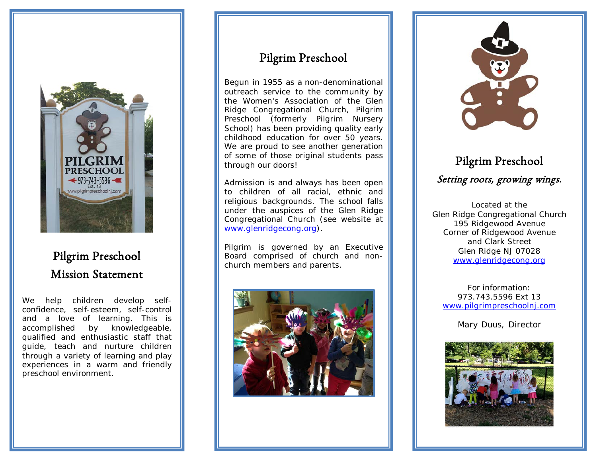

## Pilgrim Preschool Mission Statement

We help children develop selfconfidence, self-esteem, self-control and a love of learning. This is accomplished by knowledgeable, qualified and enthusiastic staff that guide, teach and nurture children through a variety of learning and play experiences in a warm and friendly preschool environment.

## Pilgrim Preschool

Begun in 1955 as a non-denominational outreach service to the community by the Women's Association of the Glen Ridge Congregational Church, Pilgrim Preschool (formerly Pilgrim Nursery School) has been providing quality early childhood education for over 50 years. We are proud to see another generation of some of those original students pass through our doors!

Admission is and always has been open to children of all racial, ethnic and religious backgrounds. The school falls under the auspices of the Glen Ridge Congregational Church (see website at [www.glenridgecong.org](http://www.glenridgecong.org/)).

Pilgrim is governed by an Executive Board comprised of church and nonchurch members and parents.





# Pilgrim Preschool Setting roots, growing wings.

Located at the Glen Ridge Congregational Church 195 Ridgewood Avenue Corner of Ridgewood Avenue and Clark Street Glen Ridge NJ 07028 [www.glenridgecong.org](http://www.glenridgecong.org/)

For information: 973.743.5596 Ext 13 [www.pilgrimpreschoolnj.com](http://www.pilgrimpreschoolnj.com/)

Mary Duus, Director



 $\overline{a}$